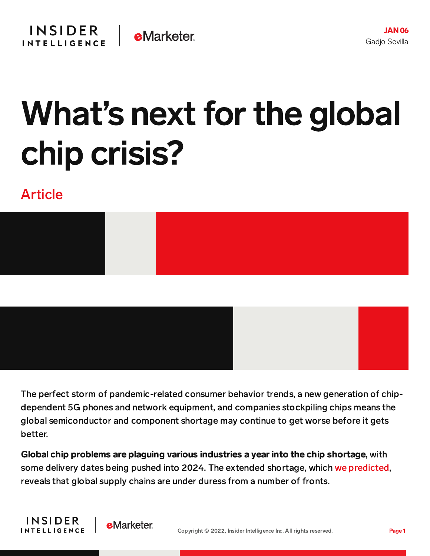

# What's next for the global chip crisis?

## Article





Global chip problems are plaguing various industries a year into the chip shortage, with some delivery dates being pushed into 2024. The extended shortage, which we [predicted,](https://content-na2.emarketer.com/dim-outlook-for-global-chip-shortage) reveals that global supply chains are under duress from a number of fronts.

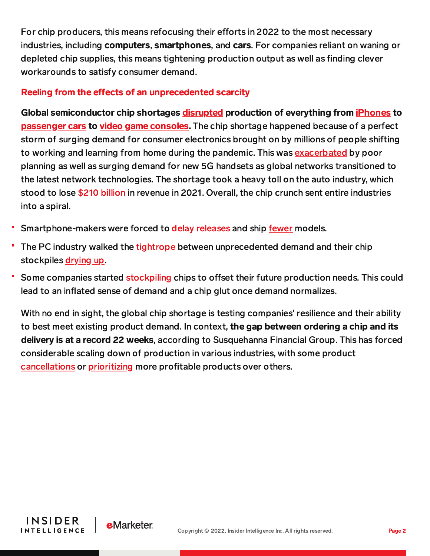For chip producers, this means refocusing their efforts in 2022 to the most necessary industries, including computers, smartphones, and cars. For companies reliant on waning or depleted chip supplies, this means tightening production output as well as finding clever workarounds to satisfy consumer demand.

### Reeling from the effects of an unprecedented scarcity

Global semiconductor chip shortages [disrupted](https://www.bloomberg.com/news/articles/2021-02-05/chip-shortage-spirals-beyond-cars-to-phones-and-game-consoles?cmpid=BBD020821_TECH&utm_medium=email&utm_source=newsletter&utm_term=210208&utm_campaign=tech) production of everything from *[iPhones](https://content-na2.emarketer.com/global-chip-shortage-finally-reaches-iphone-s-door)* to [passenger](https://content-na2.emarketer.com/toyota-output-down-26-wake-of-protracted-shortages-future-supply-chain-tech-could-help-mitigate-future-scarcity) cars to video game [consoles.](https://content-na2.emarketer.com/apple-nintendo-repurpose-components-cut-production-estimates-ahead-of-holidays) The chip shortage happened because of a perfect storm of surging demand for consumer electronics brought on by millions of people shifting to working and learning from home during the pandemic. This was [exacerbated](https://www.techrepublic.com/article/the-global-chip-shortage-what-caused-it-how-long-will-it-last/) by poor planning as well as surging demand for new 5G handsets as global networks transitioned to the latest network technologies. The shortage took a heavy toll on the auto industry, which stood to lose \$210 [billion](https://content-na2.emarketer.com/the-barrel-empty-chip-shortage-now-expected-cost-automakers-210b-sales) in revenue in 2021. Overall, the chip crunch sent entire industries into a spiral.

- Smartphone-makers were forced to delay [releases](https://content-na2.emarketer.com/global-chip-shortage-squeezes-smartphone-manufacturers-by-slowing-down-shipments-increasing-costs) and ship [fewer](https://content-na2.emarketer.com/mobile-phone-shipments-are-down-worldwide-amid-coronavirus-related-supply-chain-disruptions) models.
- The PC industry walked the [tightrope](https://content-na2.emarketer.com/dell-hp-feel-brunt-of-component-shortages-demand-pcs-spikes) between unprecedented demand and their chip stockpiles [drying](https://content-na2.emarketer.com/q-a-president-of-lenovo-north-america-vlad-rozanovich-unpacks-navigating-global-chip-shortage-how-leading-pc-maker-helps-tackle-remote-) up.
- Some companies started [stockpiling](https://content-na2.emarketer.com/apple-cuts-iphone-13-production-by-10m-units-proving-no-company-safe-supply-chain-woes) chips to offset their future production needs. This could lead to an inflated sense of demand and a chip glut once demand normalizes.

With no end in sight, the global chip shortage is testing companies' resilience and their ability to best meet existing product demand. In context, the gap between ordering a chip and its delivery is at a record 22 weeks, according to Susquehanna Financial Group. This has forced considerable scaling down of production in various industries, with some product [cancellations](https://www.androidauthority.com/missing-phones-2021-3073282/) or [prioritizing](https://content-na2.emarketer.com/apple-nintendo-repurpose-components-cut-production-estimates-ahead-of-holidays) more profitable products over others.

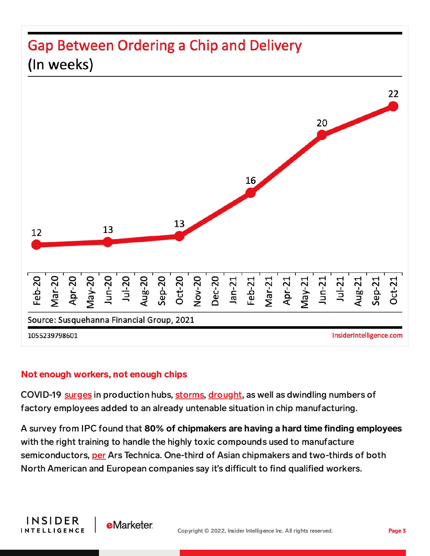## **Gap Between Ordering a Chip and Delivery** (In weeks)



#### Not enough workers, not enough chips

COVID-19 [surges](https://www.everstream.ai/risk-center/malaysia-lockdown-disrupts-manufacturing-report/) in production hubs, [storms,](https://techxplore.com/news/2021-02-winter-weather-texas-chip-worsening.html) [drought,](https://techxplore.com/news/2021-02-drought-taiwan-global-chip-shortage.html) as well as dwindling numbers of factory employees added to an already untenable situation in chip manufacturing.

A survey from IPC found that 80% of chipmakers are having a hard time finding employees with the right training to handle the highly toxic compounds used to manufacture semiconductors, [per](https://arstechnica.com/information-technology/2021/09/now-the-chip-shortage-is-being-exacerbated-by-a-labor-shortage/) Ars Technica. One-third of Asian chipmakers and two-thirds of both North American and European companies say it's difficult to find qualified workers.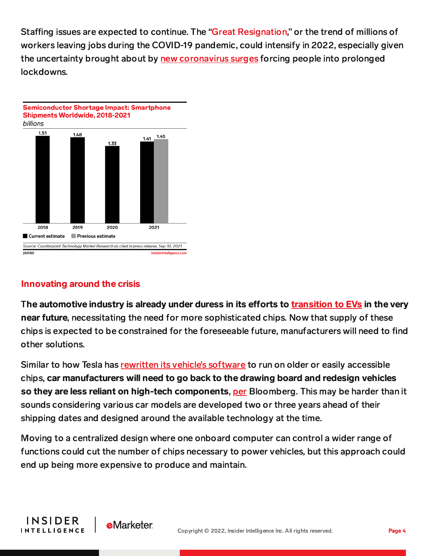Staffing issues are expected to continue. The "Great [Resignation,](https://www.businessinsider.com/great-resignation-wage-inflation-surge-creator-economy-white-collar-workers-2021-11)" or the trend of millions of workers leaving jobs during the COVID-19 pandemic, could intensify in 2022, especially given the uncertainty brought about by new [coronavirus](https://www.nytimes.com/2021/12/20/us/us-holidays-omicron-cases.html) surges forcing people into prolonged lockdowns.



## Innovating around the crisis

The automotive industry is already under duress in its efforts to [transition](https://content-na2.emarketer.com/least-two-of-every-three-cars-sold-worldwide-will-electric-by-2040-we-look-evolving-global-ev-landscape) to EVs in the very near future, necessitating the need for more sophisticated chips. Now that supply of these chips is expected to be constrained for the foreseeable future, manufacturers will need to find other solutions.

Similar to how Tesla has [rewritten](https://content-na2.emarketer.com/tesla-s-tech-like-strategy-overcomes-crippling-auto-chip-shortage-brings-higher-than-expected-q3-sales) its vehicle's software to run on older or easily accessible chips, car manufacturers will need to go back to the drawing board and redesign vehicles so they are less reliant on high-tech components, [per](https://www.bloomberg.com/news/articles/2021-12-15/automakers-to-battle-chip-crisis-for-years-consultancy-says) Bloomberg. This may be harder than it sounds considering various car models are developed two or three years ahead of their shipping dates and designed around the available technology at the time.

Moving to a centralized design where one onboard computer can control a wider range of functions could cut the number of chips necessary to power vehicles, but this approach could end up being more expensive to produce and maintain.